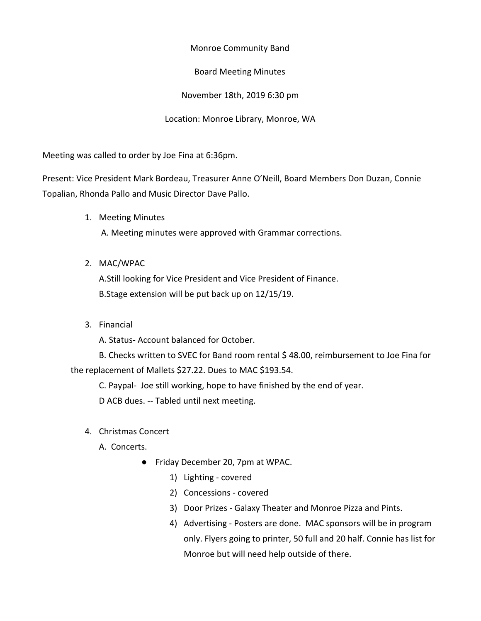Monroe Community Band

Board Meeting Minutes

November 18th, 2019 6:30 pm

Location: Monroe Library, Monroe, WA

Meeting was called to order by Joe Fina at 6:36pm.

Present: Vice President Mark Bordeau, Treasurer Anne O'Neill, Board Members Don Duzan, Connie Topalian, Rhonda Pallo and Music Director Dave Pallo.

1. Meeting Minutes

A. Meeting minutes were approved with Grammar corrections.

2. MAC/WPAC

A.Still looking for Vice President and Vice President of Finance. B.Stage extension will be put back up on 12/15/19.

3. Financial

A. Status- Account balanced for October.

B. Checks written to SVEC for Band room rental \$ 48.00, reimbursement to Joe Fina for the replacement of Mallets \$27.22. Dues to MAC \$193.54.

C. Paypal- Joe still working, hope to have finished by the end of year.

D ACB dues. -- Tabled until next meeting.

- 4. Christmas Concert
	- A. Concerts.
		- Friday December 20, 7pm at WPAC.
			- 1) Lighting covered
			- 2) Concessions covered
			- 3) Door Prizes Galaxy Theater and Monroe Pizza and Pints.
			- 4) Advertising Posters are done. MAC sponsors will be in program only. Flyers going to printer, 50 full and 20 half. Connie has list for Monroe but will need help outside of there.